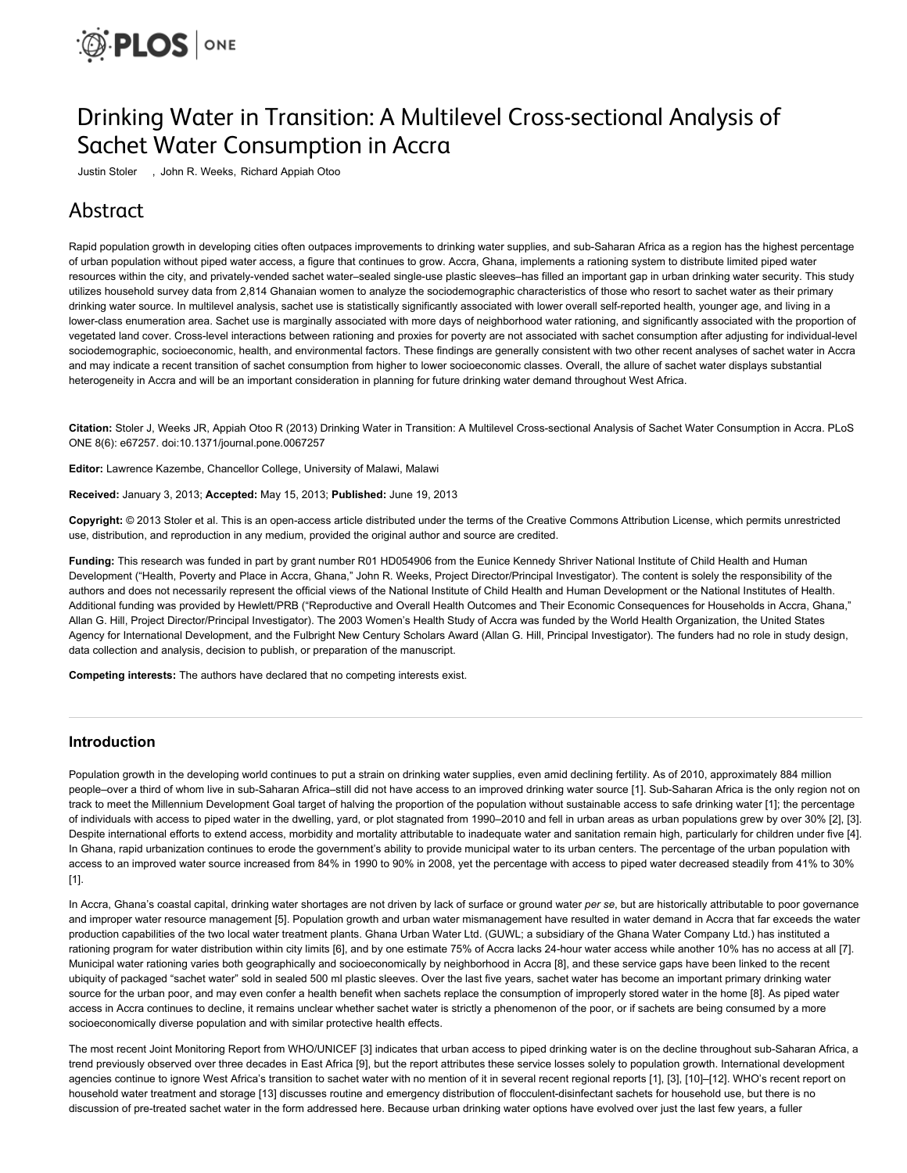

# Drinking Water in Transition: A Multilevel Cross-sectional Analysis of Sachet Water Consumption in Accra

Justin Stoler , John R. Weeks, Richard Appiah Otoo

## Abstract

Rapid population growth in developing cities often outpaces improvements to drinking water supplies, and sub-Saharan Africa as a region has the highest percentage of urban population without piped water access, a figure that continues to grow. Accra, Ghana, implements a rationing system to distribute limited piped water resources within the city, and privately-vended sachet water–sealed single-use plastic sleeves–has filled an important gap in urban drinking water security. This study utilizes household survey data from 2,814 Ghanaian women to analyze the sociodemographic characteristics of those who resort to sachet water as their primary drinking water source. In multilevel analysis, sachet use is statistically significantly associated with lower overall self-reported health, younger age, and living in a lower-class enumeration area. Sachet use is marginally associated with more days of neighborhood water rationing, and significantly associated with the proportion of vegetated land cover. Cross-level interactions between rationing and proxies for poverty are not associated with sachet consumption after adjusting for individual-level sociodemographic, socioeconomic, health, and environmental factors. These findings are generally consistent with two other recent analyses of sachet water in Accra and may indicate a recent transition of sachet consumption from higher to lower socioeconomic classes. Overall, the allure of sachet water displays substantial heterogeneity in Accra and will be an important consideration in planning for future drinking water demand throughout West Africa.

**Citation:** Stoler J, Weeks JR, Appiah Otoo R (2013) Drinking Water in Transition: A Multilevel Cross-sectional Analysis of Sachet Water Consumption in Accra. PLoS ONE 8(6): e67257. doi:10.1371/journal.pone.0067257

**Editor:** Lawrence Kazembe, Chancellor College, University of Malawi, Malawi

**Received:** January 3, 2013; **Accepted:** May 15, 2013; **Published:** June 19, 2013

**Copyright:** © 2013 Stoler et al. This is an open-access article distributed under the terms of the Creative Commons Attribution License, which permits unrestricted use, distribution, and reproduction in any medium, provided the original author and source are credited.

**Funding:** This research was funded in part by grant number R01 HD054906 from the Eunice Kennedy Shriver National Institute of Child Health and Human Development ("Health, Poverty and Place in Accra, Ghana," John R. Weeks, Project Director/Principal Investigator). The content is solely the responsibility of the authors and does not necessarily represent the official views of the National Institute of Child Health and Human Development or the National Institutes of Health. Additional funding was provided by Hewlett/PRB ("Reproductive and Overall Health Outcomes and Their Economic Consequences for Households in Accra, Ghana," Allan G. Hill, Project Director/Principal Investigator). The 2003 Women's Health Study of Accra was funded by the World Health Organization, the United States Agency for International Development, and the Fulbright New Century Scholars Award (Allan G. Hill, Principal Investigator). The funders had no role in study design, data collection and analysis, decision to publish, or preparation of the manuscript.

**Competing interests:** The authors have declared that no competing interests exist.

### **Introduction**

Population growth in the developing world continues to put a strain on drinking water supplies, even amid declining fertility. As of 2010, approximately 884 million people–over a third of whom live in sub-Saharan Africa–still did not have access to an improved drinking water source [\[1\].](http://www.plosone.org/article/info%3Adoi%2F10.1371%2Fjournal.pone.0067257#pone.0067257-WHOUNICEF1) Sub-Saharan Africa is the only region not on track to meet the Millennium Development Goal target of halving the proportion of the population without sustainable access to safe drinking water [\[1\];](http://www.plosone.org/article/info%3Adoi%2F10.1371%2Fjournal.pone.0067257#pone.0067257-WHOUNICEF1) the percentage of individuals with access to piped water in the dwelling, yard, or plot stagnated from 1990–2010 and fell in urban areas as urban populations grew by over 30% [\[2\],](http://www.plosone.org/article/info%3Adoi%2F10.1371%2Fjournal.pone.0067257#pone.0067257-United1) [\[3\].](http://www.plosone.org/article/info%3Adoi%2F10.1371%2Fjournal.pone.0067257#pone.0067257-WHOUNICEF2) Despite international efforts to extend access, morbidity and mortality attributable to inadequate water and sanitation remain high, particularly for children under five [\[4\].](http://www.plosone.org/article/info%3Adoi%2F10.1371%2Fjournal.pone.0067257#pone.0067257-Fink1) In Ghana, rapid urbanization continues to erode the government's ability to provide municipal water to its urban centers. The percentage of the urban population with access to an improved water source increased from 84% in 1990 to 90% in 2008, yet the percentage with access to piped water decreased steadily from 41% to 30% [\[1\].](http://www.plosone.org/article/info%3Adoi%2F10.1371%2Fjournal.pone.0067257#pone.0067257-WHOUNICEF1)

In Accra, Ghana's coastal capital, drinking water shortages are not driven by lack of surface or ground water *per se*, but are historically attributable to poor governance and improper water resource management [\[5\].](http://www.plosone.org/article/info%3Adoi%2F10.1371%2Fjournal.pone.0067257#pone.0067257-NsiahGyabaah1) Population growth and urban water mismanagement have resulted in water demand in Accra that far exceeds the water production capabilities of the two local water treatment plants. Ghana Urban Water Ltd. (GUWL; a subsidiary of the Ghana Water Company Ltd.) has instituted a rationing program for water distribution within city limits [\[6\],](http://www.plosone.org/article/info%3Adoi%2F10.1371%2Fjournal.pone.0067257#pone.0067257-VanRooijen1) and by one estimate 75% of Accra lacks 24-hour water access while another 10% has no access at all [\[7\].](http://www.plosone.org/article/info%3Adoi%2F10.1371%2Fjournal.pone.0067257#pone.0067257-WaterAid1) Municipal water rationing varies both geographically and socioeconomically by neighborhood in Accra [\[8\]](http://www.plosone.org/article/info%3Adoi%2F10.1371%2Fjournal.pone.0067257#pone.0067257-Stoler1), and these service gaps have been linked to the recent ubiquity of packaged "sachet water" sold in sealed 500 ml plastic sleeves. Over the last five years, sachet water has become an important primary drinking water source for the urban poor, and may even confer a health benefit when sachets replace the consumption of improperly stored water in the home [\[8\].](http://www.plosone.org/article/info%3Adoi%2F10.1371%2Fjournal.pone.0067257#pone.0067257-Stoler1) As piped water access in Accra continues to decline, it remains unclear whether sachet water is strictly a phenomenon of the poor, or if sachets are being consumed by a more socioeconomically diverse population and with similar protective health effects.

The most recent Joint Monitoring Report from WHO/UNICEF [\[3\]](http://www.plosone.org/article/info%3Adoi%2F10.1371%2Fjournal.pone.0067257#pone.0067257-WHOUNICEF2) indicates that urban access to piped drinking water is on the decline throughout sub-Saharan Africa, a trend previously observed over three decades in East Africa [\[9\],](http://www.plosone.org/article/info%3Adoi%2F10.1371%2Fjournal.pone.0067257#pone.0067257-Thompson1) but the report attributes these service losses solely to population growth. International development agencies continue to ignore West Africa's transition to sachet water with no mention of it in several recent regional reports [\[1\],](http://www.plosone.org/article/info%3Adoi%2F10.1371%2Fjournal.pone.0067257#pone.0067257-WHOUNICEF1) [\[3\],](http://www.plosone.org/article/info%3Adoi%2F10.1371%2Fjournal.pone.0067257#pone.0067257-WHOUNICEF2) [\[10\]](http://www.plosone.org/article/info%3Adoi%2F10.1371%2Fjournal.pone.0067257#pone.0067257-International1)-[12]. WHO's recent report on household water treatment and storage [\[13\]](http://www.plosone.org/article/info%3Adoi%2F10.1371%2Fjournal.pone.0067257#pone.0067257-WHO1) discusses routine and emergency distribution of flocculent-disinfectant sachets for household use, but there is no discussion of pre-treated sachet water in the form addressed here. Because urban drinking water options have evolved over just the last few years, a fuller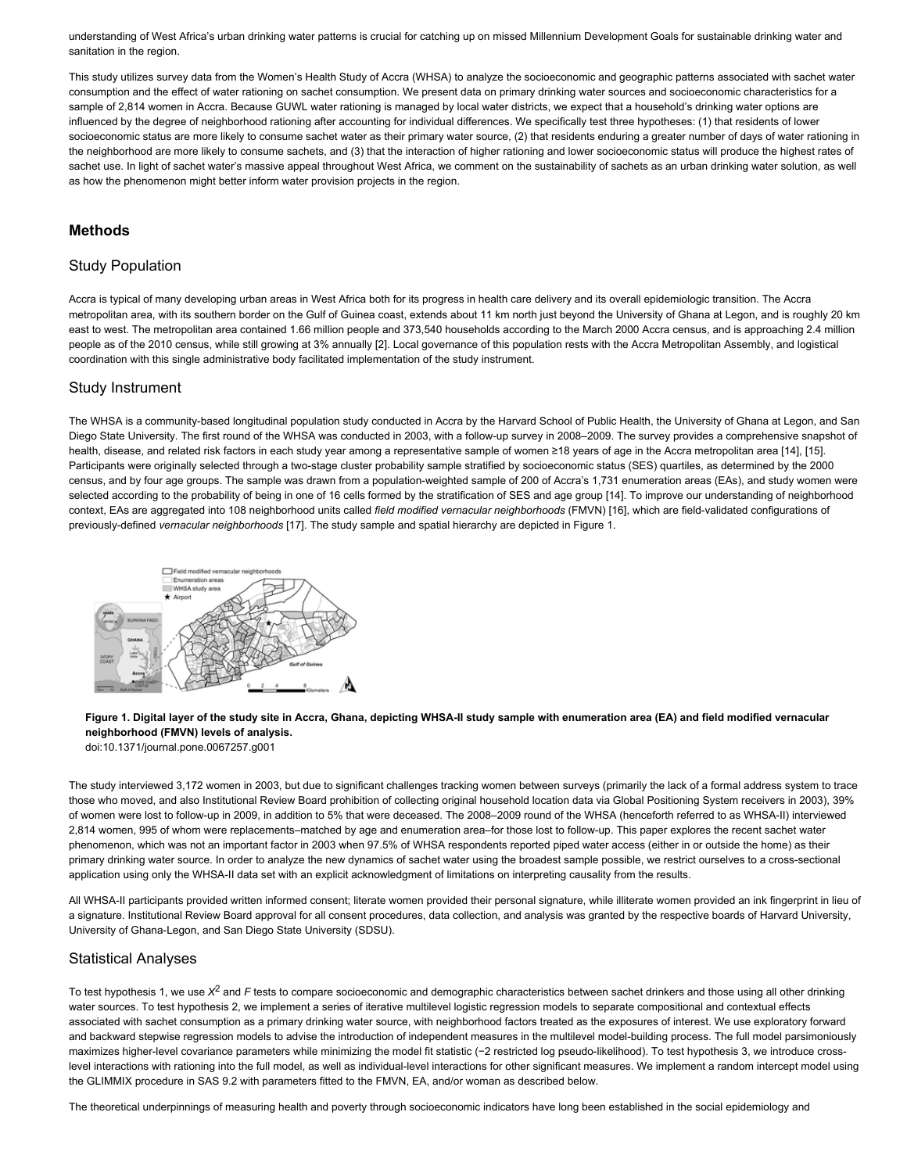understanding of West Africa's urban drinking water patterns is crucial for catching up on missed Millennium Development Goals for sustainable drinking water and sanitation in the region.

This study utilizes survey data from the Women's Health Study of Accra (WHSA) to analyze the socioeconomic and geographic patterns associated with sachet water consumption and the effect of water rationing on sachet consumption. We present data on primary drinking water sources and socioeconomic characteristics for a sample of 2,814 women in Accra. Because GUWL water rationing is managed by local water districts, we expect that a household's drinking water options are influenced by the degree of neighborhood rationing after accounting for individual differences. We specifically test three hypotheses: (1) that residents of lower socioeconomic status are more likely to consume sachet water as their primary water source, (2) that residents enduring a greater number of days of water rationing in the neighborhood are more likely to consume sachets, and (3) that the interaction of higher rationing and lower socioeconomic status will produce the highest rates of sachet use. In light of sachet water's massive appeal throughout West Africa, we comment on the sustainability of sachets as an urban drinking water solution, as well as how the phenomenon might better inform water provision projects in the region.

## **Methods**

#### Study Population

Accra is typical of many developing urban areas in West Africa both for its progress in health care delivery and its overall epidemiologic transition. The Accra metropolitan area, with its southern border on the Gulf of Guinea coast, extends about 11 km north just beyond the University of Ghana at Legon, and is roughly 20 km east to west. The metropolitan area contained 1.66 million people and 373,540 households according to the March 2000 Accra census, and is approaching 2.4 million people as of the 2010 census, while still growing at 3% annually [\[2\].](http://www.plosone.org/article/info%3Adoi%2F10.1371%2Fjournal.pone.0067257#pone.0067257-United1) Local governance of this population rests with the Accra Metropolitan Assembly, and logistical coordination with this single administrative body facilitated implementation of the study instrument.

#### Study Instrument

The WHSA is a community-based longitudinal population study conducted in Accra by the Harvard School of Public Health, the University of Ghana at Legon, and San Diego State University. The first round of the WHSA was conducted in 2003, with a follow-up survey in 2008–2009. The survey provides a comprehensive snapshot of health, disease, and related risk factors in each study year among a representative sample of women  $\geq 18$  years of age in the Accra metropolitan area [\[14\],](http://www.plosone.org/article/info%3Adoi%2F10.1371%2Fjournal.pone.0067257#pone.0067257-Hill1) [\[15\].](http://www.plosone.org/article/info%3Adoi%2F10.1371%2Fjournal.pone.0067257#pone.0067257-WHSAII1) Participants were originally selected through a two-stage cluster probability sample stratified by socioeconomic status (SES) quartiles, as determined by the 2000 census, and by four age groups. The sample was drawn from a population-weighted sample of 200 of Accra's 1,731 enumeration areas (EAs), and study women were selected according to the probability of being in one of 16 cells formed by the stratification of SES and age group [\[14\].](http://www.plosone.org/article/info%3Adoi%2F10.1371%2Fjournal.pone.0067257#pone.0067257-Hill1) To improve our understanding of neighborhood context, EAs are aggregated into 108 neighborhood units called *field modified vernacular neighborhoods* (FMVN) [\[16\]](http://www.plosone.org/article/info%3Adoi%2F10.1371%2Fjournal.pone.0067257#pone.0067257-Weeks1), which are field-validated configurations of previously-defined *vernacular neighborhoods* [\[17\].](http://www.plosone.org/article/info%3Adoi%2F10.1371%2Fjournal.pone.0067257#pone.0067257-Weeks2) The study sample and spatial hierarchy are depicted in [Figure 1.](http://www.plosone.org/article/info%3Adoi%2F10.1371%2Fjournal.pone.0067257#pone-0067257-g001)



#### **Figure 1. Digital layer of the study site in Accra, Ghana, depicting WHSA-II study sample with enumeration area (EA) and field modified vernacular neighborhood (FMVN) levels of analysis.**

doi:10.1371/journal.pone.0067257.g001

The study interviewed 3,172 women in 2003, but due to significant challenges tracking women between surveys (primarily the lack of a formal address system to trace those who moved, and also Institutional Review Board prohibition of collecting original household location data via Global Positioning System receivers in 2003), 39% of women were lost to follow-up in 2009, in addition to 5% that were deceased. The 2008–2009 round of the WHSA (henceforth referred to as WHSA-II) interviewed 2,814 women, 995 of whom were replacements–matched by age and enumeration area–for those lost to follow-up. This paper explores the recent sachet water phenomenon, which was not an important factor in 2003 when 97.5% of WHSA respondents reported piped water access (either in or outside the home) as their primary drinking water source. In order to analyze the new dynamics of sachet water using the broadest sample possible, we restrict ourselves to a cross-sectional application using only the WHSA-II data set with an explicit acknowledgment of limitations on interpreting causality from the results.

All WHSA-II participants provided written informed consent; literate women provided their personal signature, while illiterate women provided an ink fingerprint in lieu of a signature. Institutional Review Board approval for all consent procedures, data collection, and analysis was granted by the respective boards of Harvard University, University of Ghana-Legon, and San Diego State University (SDSU).

#### Statistical Analyses

To test hypothesis 1, we use X<sup>2</sup> and F tests to compare socioeconomic and demographic characteristics between sachet drinkers and those using all other drinking water sources. To test hypothesis 2, we implement a series of iterative multilevel logistic regression models to separate compositional and contextual effects associated with sachet consumption as a primary drinking water source, with neighborhood factors treated as the exposures of interest. We use exploratory forward and backward stepwise regression models to advise the introduction of independent measures in the multilevel model-building process. The full model parsimoniously maximizes higher-level covariance parameters while minimizing the model fit statistic (-2 restricted log pseudo-likelihood). To test hypothesis 3, we introduce crosslevel interactions with rationing into the full model, as well as individual-level interactions for other significant measures. We implement a random intercept model using the GLIMMIX procedure in SAS 9.2 with parameters fitted to the FMVN, EA, and/or woman as described below.

The theoretical underpinnings of measuring health and poverty through socioeconomic indicators have long been established in the social epidemiology and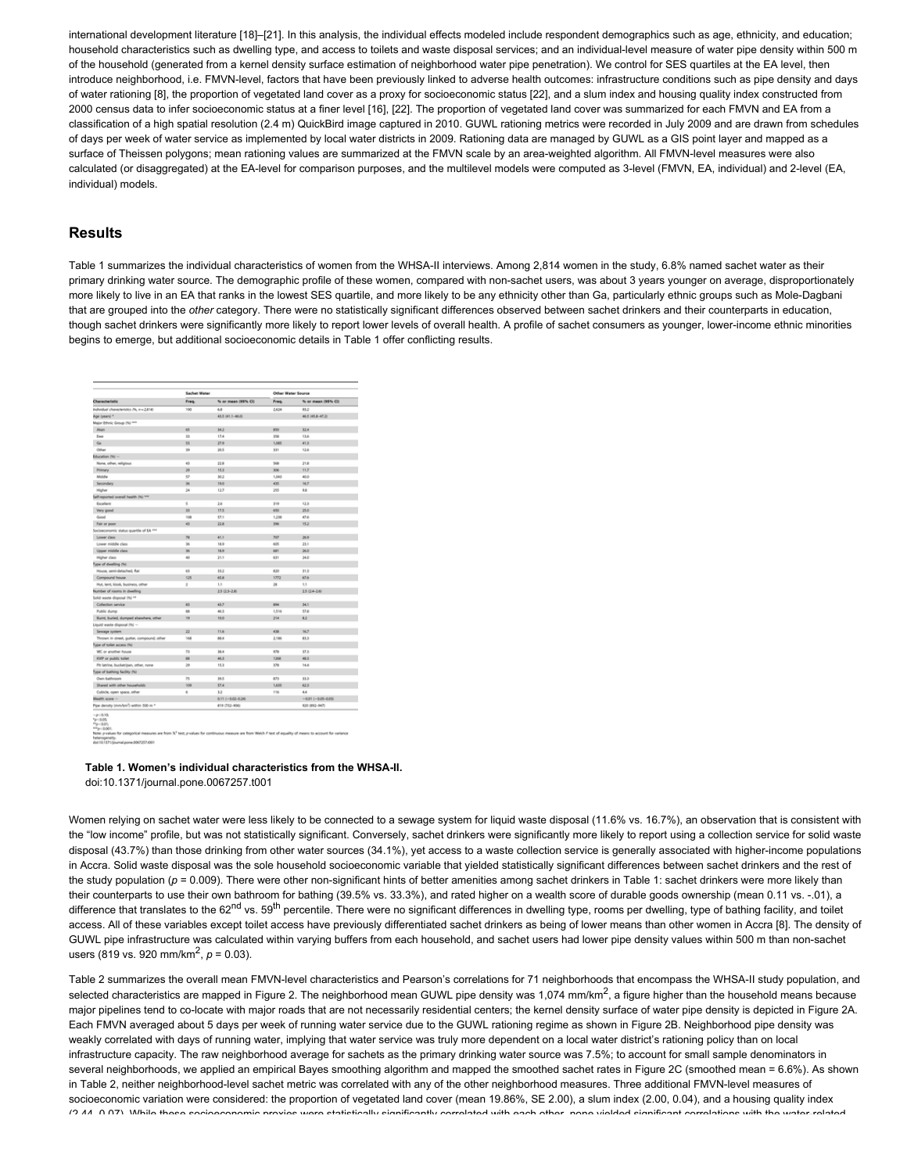international development literature [\[18\]–](http://www.plosone.org/article/info%3Adoi%2F10.1371%2Fjournal.pone.0067257#pone.0067257-Krieger1)[\[21\]](http://www.plosone.org/article/info%3Adoi%2F10.1371%2Fjournal.pone.0067257#pone.0067257-UNDPUNEP1). In this analysis, the individual effects modeled include respondent demographics such as age, ethnicity, and education; household characteristics such as dwelling type, and access to toilets and waste disposal services; and an individual-level measure of water pipe density within 500 m of the household (generated from a kernel density surface estimation of neighborhood water pipe penetration). We control for SES quartiles at the EA level, then introduce neighborhood, i.e. FMVN-level, factors that have been previously linked to adverse health outcomes: infrastructure conditions such as pipe density and days of water rationing [\[8\]](http://www.plosone.org/article/info%3Adoi%2F10.1371%2Fjournal.pone.0067257#pone.0067257-Stoler1), the proportion of vegetated land cover as a proxy for socioeconomic status [\[22\],](http://www.plosone.org/article/info%3Adoi%2F10.1371%2Fjournal.pone.0067257#pone.0067257-Weeks3) and a slum index and housing quality index constructed from 2000 census data to infer socioeconomic status at a finer level [\[16\],](http://www.plosone.org/article/info%3Adoi%2F10.1371%2Fjournal.pone.0067257#pone.0067257-Weeks1) [\[22\].](http://www.plosone.org/article/info%3Adoi%2F10.1371%2Fjournal.pone.0067257#pone.0067257-Weeks3) The proportion of vegetated land cover was summarized for each FMVN and EA from a classification of a high spatial resolution (2.4 m) QuickBird image captured in 2010. GUWL rationing metrics were recorded in July 2009 and are drawn from schedules of days per week of water service as implemented by local water districts in 2009. Rationing data are managed by GUWL as a GIS point layer and mapped as a surface of Theissen polygons; mean rationing values are summarized at the FMVN scale by an area-weighted algorithm. All FMVN-level measures were also calculated (or disaggregated) at the EA-level for comparison purposes, and the multilevel models were computed as 3-level (FMVN, EA, individual) and 2-level (EA, individual) models.

#### **Results**

[Table 1](http://www.plosone.org/article/info%3Adoi%2F10.1371%2Fjournal.pone.0067257#pone-0067257-t001) summarizes the individual characteristics of women from the WHSA-II interviews. Among 2,814 women in the study, 6.8% named sachet water as their primary drinking water source. The demographic profile of these women, compared with non-sachet users, was about 3 years younger on average, disproportionately more likely to live in an EA that ranks in the lowest SES quartile, and more likely to be any ethnicity other than Ga, particularly ethnic groups such as Mole-Dagbani that are grouped into the *other* category. There were no statistically significant differences observed between sachet drinkers and their counterparts in education, though sachet drinkers were significantly more likely to report lower levels of overall health. A profile of sachet consumers as younger, lower-income ethnic minorities begins to emerge, but additional socioeconomic details in [Table 1](http://www.plosone.org/article/info%3Adoi%2F10.1371%2Fjournal.pone.0067257#pone-0067257-t001) offer conflicting results.

|                                           | <b>Sachet Water</b> |                       | Other Water Source |                     |  |
|-------------------------------------------|---------------------|-----------------------|--------------------|---------------------|--|
| <b>haracteristic</b>                      | Freq.               | % or mean (95% Cl)    | Freq.              | % or mean (95% Cl)  |  |
| dividual characteristics (%, e = 2.814)   | 190                 | 6.8                   | 2,624              | 93.2                |  |
| ge (years) *                              |                     | 43.5 (41.1-46.0)      |                    | 463 (ASJ-47.2)      |  |
| lajor Ethnic Group (N) ***                |                     |                       |                    |                     |  |
| Akan.                                     | 45                  | M2                    | 850                | 32.4                |  |
| <b>East</b>                               | 33                  | 17.4                  | 358                | 13.6                |  |
| Ga                                        | 53                  | 27.9                  | 1,045              | 41.3                |  |
| Other                                     | 39                  | 20.1                  | 331                | 13.6                |  |
| Aucution (N) ~                            |                     |                       |                    |                     |  |
| None, other, religious                    | 43                  | 22.8                  | tiat               | 21.8                |  |
| Primary                                   | 29                  | 15.3                  | 306                | 11.7                |  |
| Middle                                    | 57                  | 30.2                  | 1,043              | 40.0                |  |
| Secondary                                 | 36                  | 19.0                  | 435                | MJ <sub>7</sub>     |  |
| Higher                                    | 34                  | 123                   | 255                | 18                  |  |
| and current farevo betrogen fis           |                     |                       |                    |                     |  |
| <b>Excellent</b>                          | 5                   | 2.6                   | 379                | 13.3                |  |
| Very good                                 | 33                  | 17.5                  | 650                | 21.0                |  |
| 600d                                      | 108                 | 17.1                  | 1,238              | 47.6                |  |
| Fair or poor                              | 43                  | 22.8                  | 396                | 15.2                |  |
| ocloeconomic status quartile of EA ***    |                     |                       |                    |                     |  |
| Lower class                               | 78                  | 45.3                  | 767                | 269                 |  |
| Lower middle class                        | 36                  | 18.9                  | 605                | 23.1                |  |
| Upper middle class                        | 36                  | 18.9                  | 681                | 26.0                |  |
| Higher class                              | 40                  | 29.9                  | 431                | 34.0                |  |
| you of dwelling (%)                       |                     |                       |                    |                     |  |
| House, seni-detached, flat                | K3                  | 33.2                  | R30                | 31.3                |  |
| Compound house                            | 125                 | 45.8                  | 1272               | 47.6                |  |
| Hut, tent, kicok, business, other         | z                   | 1.5                   | 28                 | 5.3                 |  |
| unber of nooms in dwelling                |                     | 25 (23-28)            |                    | 25 (24-26)          |  |
| olid waste disposal (%) **                |                     |                       |                    |                     |  |
| Collection service                        | 83                  | 43.7                  | 894                | 34.1                |  |
| Public dump                               | m                   | 46.3                  | 1,516              | 57.6                |  |
| Burnt, burled, dumped elsewhere, other    | 79                  | 10.0                  | 214                | 82                  |  |
| quid waste disposal (%) -                 |                     |                       |                    |                     |  |
| Sewage system                             | 22                  | 11.6                  | 638                | 34.7                |  |
| Thrown in street, gutter, compound, other | 168                 | 88.4                  | 2,186              | 83.3                |  |
| ge of tolet access (%)                    |                     |                       |                    |                     |  |
| WC or another house                       | 73                  | 36.4                  | 178                | 93.3                |  |
| KWP or public tolet                       | m                   | 46.3                  | 1268               | 48.3                |  |
| Pit latina, bucketiban, other, none       | 24                  | 15.3                  | 378                | 14.4                |  |
| yoe of bathing facility (%)               |                     |                       |                    |                     |  |
| Oan bathroom                              | 21                  | 39.5                  | 873                | 33.3                |  |
| Shared with other households              | 109                 | 17.4                  | 1,635              | 62.3                |  |
| Cubicle, open space, other                | ä,                  | 3.2                   | 116                | 44                  |  |
| lealth score -                            |                     | $0.11 (-0.02 - 0.24)$ |                    | $-0.01(-0.05-0.03)$ |  |
|                                           |                     | 819 (733-906)         |                    | 930 (892-947)       |  |

#### **Table 1. Women's individual characteristics from the WHSA-II.**

doi:10.1371/journal.pone.0067257.t001

Women relying on sachet water were less likely to be connected to a sewage system for liquid waste disposal (11.6% vs. 16.7%), an observation that is consistent with the "low income" profile, but was not statistically significant. Conversely, sachet drinkers were significantly more likely to report using a collection service for solid waste disposal (43.7%) than those drinking from other water sources (34.1%), yet access to a waste collection service is generally associated with higher-income populations in Accra. Solid waste disposal was the sole household socioeconomic variable that yielded statistically significant differences between sachet drinkers and the rest of the study population ( $p = 0.009$ ). There were other non-significant hints of better amenities among sachet drinkers in [Table 1:](http://www.plosone.org/article/info%3Adoi%2F10.1371%2Fjournal.pone.0067257#pone-0067257-t001) sachet drinkers were more likely than their counterparts to use their own bathroom for bathing (39.5% vs. 33.3%), and rated higher on a wealth score of durable goods ownership (mean 0.11 vs. -.01), a difference that translates to the 62<sup>nd</sup> vs. 59<sup>th</sup> percentile. There were no significant differences in dwelling type, rooms per dwelling, type of bathing facility, and toilet access. All of these variables except toilet access have previously differentiated sachet drinkers as being of lower means than other women in Accra [\[8\].](http://www.plosone.org/article/info%3Adoi%2F10.1371%2Fjournal.pone.0067257#pone.0067257-Stoler1) The density of GUWL pipe infrastructure was calculated within varying buffers from each household, and sachet users had lower pipe density values within 500 m than non-sachet users (819 vs. 920 mm/km<sup>2</sup>,  $p = 0.03$ ).

[Table 2](http://www.plosone.org/article/info%3Adoi%2F10.1371%2Fjournal.pone.0067257#pone-0067257-t002) summarizes the overall mean FMVN-level characteristics and Pearson's correlations for 71 neighborhoods that encompass the WHSA-II study population, and selected characteristics are mapped in [Figure 2.](http://www.plosone.org/article/info%3Adoi%2F10.1371%2Fjournal.pone.0067257#pone-0067257-g002) The neighborhood mean GUWL pipe density was 1,074 mm/km<sup>2</sup>, a figure higher than the household means because major pipelines tend to co-locate with major roads that are not necessarily residential centers; the kernel density surface of water pipe density is depicted in [Figure 2A](http://www.plosone.org/article/info%3Adoi%2F10.1371%2Fjournal.pone.0067257#pone-0067257-g002). Each FMVN averaged about 5 days per week of running water service due to the GUWL rationing regime as shown in [Figure 2B.](http://www.plosone.org/article/info%3Adoi%2F10.1371%2Fjournal.pone.0067257#pone-0067257-g002) Neighborhood pipe density was weakly correlated with days of running water, implying that water service was truly more dependent on a local water district's rationing policy than on local infrastructure capacity. The raw neighborhood average for sachets as the primary drinking water source was 7.5%; to account for small sample denominators in several neighborhoods, we applied an empirical Bayes smoothing algorithm and mapped the smoothed sachet rates in [Figure 2C](http://www.plosone.org/article/info%3Adoi%2F10.1371%2Fjournal.pone.0067257#pone-0067257-g002) (smoothed mean = 6.6%). As shown in [Table 2,](http://www.plosone.org/article/info%3Adoi%2F10.1371%2Fjournal.pone.0067257#pone-0067257-t002) neither neighborhood-level sachet metric was correlated with any of the other neighborhood measures. Three additional FMVN-level measures of socioeconomic variation were considered: the proportion of vegetated land cover (mean 19.86%, SE 2.00), a slum index (2.00, 0.04), and a housing quality index (2.44, 0.07). While these socioeconomic provies were statistically significantly correlated with each other, none yielded significant correlations with the water-related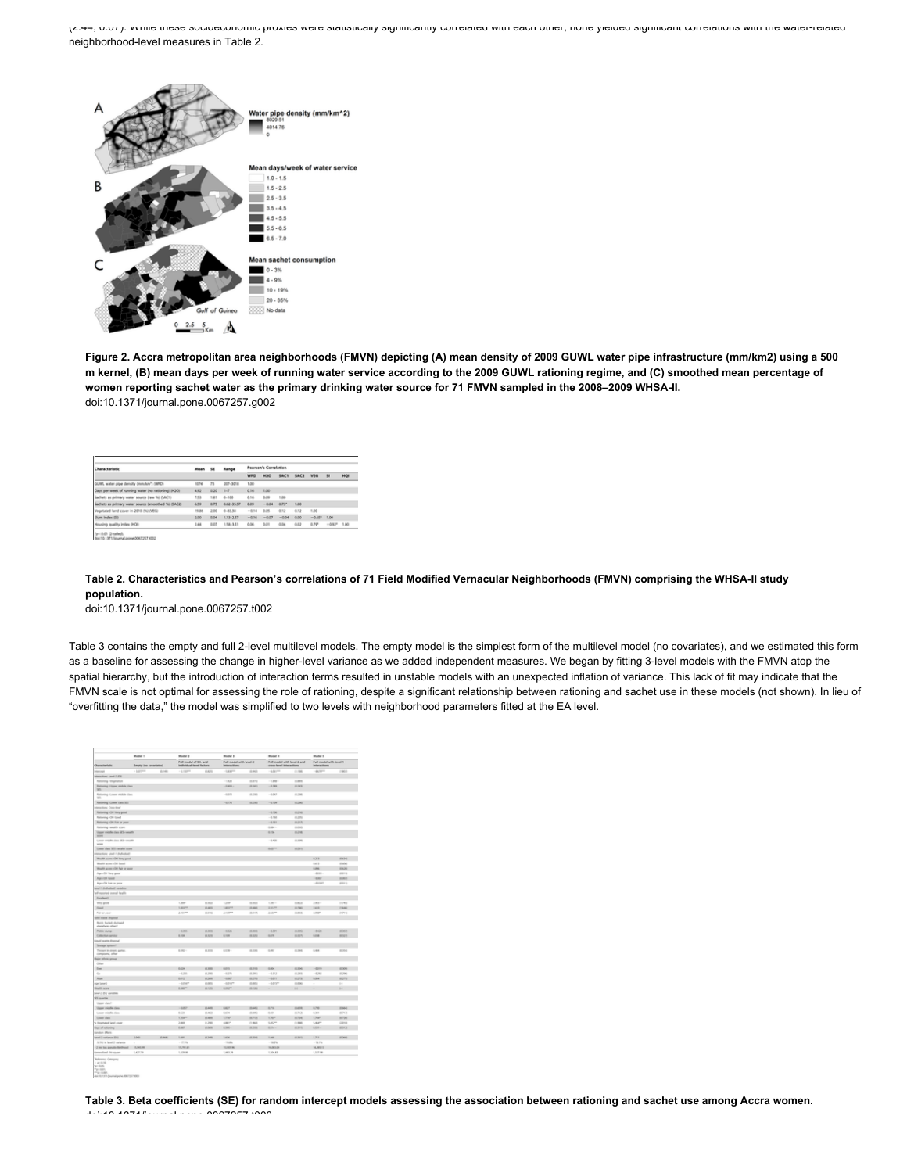(2.44, 0.07). While these socioeconomic proxies were statistically significantly correlated with each other, none yielded significant correlations with the water-related neighborhood-level measures in [Table 2.](http://www.plosone.org/article/info%3Adoi%2F10.1371%2Fjournal.pone.0067257#pone-0067257-t002)



**Figure 2. Accra metropolitan area neighborhoods (FMVN) depicting (A) mean density of 2009 GUWL water pipe infrastructure (mm/km2) using a 500 m kernel, (B) mean days per week of running water service according to the 2009 GUWL rationing regime, and (C) smoothed mean percentage of women reporting sachet water as the primary drinking water source for 71 FMVN sampled in the 2008–2009 WHSA-II.** doi:10.1371/journal.pone.0067257.g002

| Characteristic                                      |       | 54   | Renne      |            | <b>Pearson's Correlation</b> |         |             |                |                           |     |
|-----------------------------------------------------|-------|------|------------|------------|------------------------------|---------|-------------|----------------|---------------------------|-----|
|                                                     |       |      |            | <b>WPD</b> | HQ                           | SACT    | <b>SAC2</b> | <b>VEG</b>     | s                         | HOI |
| GUML water pipe density (mm/lun") (MFD)             | note  | 71   | 207-3018   | 1.00       |                              |         |             |                |                           |     |
| per week of running water the rationing) (H2Cl)     | 4.52  | 0.30 | 1.7        | 0.14       | 1.00                         |         |             |                |                           |     |
| primary water source Iraw %) (SAC1)                 | 7.53  | 1.81 | $0 - 100$  | 0.16       | 0.09                         | 1.00    |             |                |                           |     |
| Sachets as primary water source (smoothed %) (SAC2) | 6.59  | 0.75 | 0.62-31.17 | 0.09       | $-0.04$                      | 0.737   | 1.00        |                |                           |     |
| Wegetated land cover in 2010 (%) (VEG)              | 19.86 | 3.00 | 0.43.38    | $-0.14$    | 0.05                         | 0.12    | 0.12        | 1.00           |                           |     |
| Slum Index (S)                                      | 2.00  | 0.04 | 1.13-2.17  | $-0.16$    | $-0.07$                      | $-0.54$ | 0.00        | $-0.487$       | 1.00                      |     |
| Housing quality index (HQI)                         | 3.44  | 0.07 | 1.58-3.51  | 0.06       | 0.01                         | 0.04    | 0.02        | $4.79^{\circ}$ | $-0.82$ <sup>e</sup> 1.00 |     |

doi:10.1371/ournal.come.0067257.0002

#### **Table 2. Characteristics and Pearson's correlations of 71 Field Modified Vernacular Neighborhoods (FMVN) comprising the WHSA-II study population.**

doi:10.1371/journal.pone.0067257.t002

[Table 3](http://www.plosone.org/article/info%3Adoi%2F10.1371%2Fjournal.pone.0067257#pone-0067257-t003) contains the empty and full 2-level multilevel models. The empty model is the simplest form of the multilevel model (no covariates), and we estimated this form as a baseline for assessing the change in higher-level variance as we added independent measures. We began by fitting 3-level models with the FMVN atop the spatial hierarchy, but the introduction of interaction terms resulted in unstable models with an unexpected inflation of variance. This lack of fit may indicate that the FMVN scale is not optimal for assessing the role of rationing, despite a significant relationship between rationing and sachet use in these models (not shown). In lieu of "overfitting the data," the model was simplified to two levels with neighborhood parameters fitted at the EA level.

|                                                             | Model <sup>1</sup>          |       | Model 3                                           |                     | <b>World I</b>                                 |                   | <b>Model 4</b>                                          |                       | Model 5                                        |                |
|-------------------------------------------------------------|-----------------------------|-------|---------------------------------------------------|---------------------|------------------------------------------------|-------------------|---------------------------------------------------------|-----------------------|------------------------------------------------|----------------|
| <b>Characteristic</b>                                       | <b>Engly Ins streetaled</b> |       | Full model of EA: and<br>Individual layed factory |                     | Full model with level 2<br><b>Interactions</b> |                   | Full model with breat 2 and<br>orem breat interactions: |                       | Full model with launt 1<br><b>Interactions</b> |                |
|                                                             | - Supreme                   | 6.148 | - IL KANSAS                                       | 49,639              | $-3.410$                                       | (1.443)           | -AM/F                                                   | (1, 1, 24)            | <b>AASTER</b>                                  | $-3.867$       |
| <b>Mean Kers Leat / 64</b>                                  |                             |       |                                                   |                     |                                                |                   |                                                         |                       |                                                |                |
| Retoring ringstaton                                         |                             |       |                                                   |                     | $-1.435$                                       | o.eru             | $-1.646$                                                | 41,644                |                                                |                |
| Returning riliages models class:<br><b>MS</b>               |                             |       |                                                   |                     | $+4.456$                                       | as parts          | -4.MA                                                   | <b>WEDNER</b>         |                                                |                |
| <b>Sylle</b><br>ing classes mobile class<br>10 <sup>2</sup> |                             |       |                                                   |                     | $-0.072$                                       | 0.285             | -0.047                                                  | 0.198                 |                                                |                |
| Returning classes also 50%                                  |                             |       |                                                   |                     | 4.04                                           | at yan            | $-0.746$                                                | 36,256                |                                                |                |
| <b>Anadion: Opp leaf</b>                                    |                             |       |                                                   |                     |                                                |                   |                                                         |                       |                                                |                |
| Astorong (OK lary good                                      |                             |       |                                                   |                     |                                                |                   | 134                                                     | 36,2140               |                                                |                |
| Returning +34 Good                                          |                             |       |                                                   |                     |                                                |                   | 4.194                                                   | 49, 2010              |                                                |                |
| Referring (OR Felt or prest)                                |                             |       |                                                   |                     |                                                |                   | 4.191                                                   | as por                |                                                |                |
| fationing canality score                                    |                             |       |                                                   |                     |                                                |                   | <b>Lisa</b>                                             | 0.010                 |                                                |                |
| Voyer middle class SES canadis<br>www.                      |                             |       |                                                   |                     |                                                |                   | <b>ATM</b>                                              | a.com                 |                                                |                |
| Lower middle class SEL canality<br><b>Windows</b>           |                             |       |                                                   |                     |                                                |                   | $-0.465$                                                | 4,500                 |                                                |                |
| Lower class 505 canadh acora                                |                             |       |                                                   |                     |                                                |                   | <b>LLIP</b>                                             | 8,291                 |                                                |                |
| International Local / (Individual)                          |                             |       |                                                   |                     |                                                |                   |                                                         |                       |                                                |                |
| Wealth worm cOV Very grout                                  |                             |       |                                                   |                     |                                                |                   |                                                         |                       | 6213                                           | <b>BAR</b>     |
| World was old fast                                          |                             |       |                                                   |                     |                                                |                   |                                                         |                       | ter.                                           | <b>Hale</b>    |
| Wealth ware cOH Fair or poor                                |                             |       |                                                   |                     |                                                |                   |                                                         |                       | Limit.                                         | 6426           |
| Age +DK Very good                                           |                             |       |                                                   |                     |                                                |                   |                                                         |                       | 4494                                           | Acre.          |
| Age villet Good                                             |                             |       |                                                   |                     |                                                |                   |                                                         |                       | <b>SHF</b>                                     | <b>KAIS</b>    |
| Apr +DK Full or anox                                        |                             |       |                                                   |                     |                                                |                   |                                                         |                       | 4494                                           | dutch to       |
| relation Students 1 level                                   |                             |       |                                                   |                     |                                                |                   |                                                         |                       |                                                |                |
| Aftered learning building                                   |                             |       |                                                   |                     |                                                |                   |                                                         |                       |                                                |                |
| Excellent?                                                  |                             |       |                                                   |                     |                                                |                   |                                                         |                       |                                                |                |
| <b>Were proof</b>                                           |                             |       | 1 bind                                            | <b>ALMA</b>         | <b>Link</b>                                    | on acco.          | $1.585 -$                                               | <b>HALL</b>           | pas-                                           | 0.249          |
| Good                                                        |                             |       | Lagre                                             | 35,463              | <b>Lasym</b>                                   | 15,404            | $1107$ <sup>m</sup>                                     | 31,796                | 1416                                           | 0.886          |
| fue at some                                                 |                             |       | a parent                                          | <b>ALCOHOL</b>      | 11001                                          | 49.97%            | 140 PT                                                  | <b>DATE</b>           | <b>STAND</b>                                   | <b>CLEVE</b>   |
| <b>Accept anne Mid-</b>                                     |                             |       |                                                   |                     |                                                |                   |                                                         |                       |                                                |                |
| Build, Suited, Automat<br>shoulders other?                  |                             |       |                                                   |                     |                                                |                   |                                                         |                       |                                                |                |
| <b>Public during</b><br><b>Collection service</b>           |                             |       | 4.85<br>6.104                                     | 8,819<br>45, 62, 63 | $-0.836$<br>4.144                              | 18, 304<br>45,374 | -4.991<br><b>AATM</b>                                   | 36,50%<br><b>MAPS</b> | 448<br><b>A</b>                                | 4.901<br>4,525 |
| look want dramal                                            |                             |       |                                                   |                     |                                                |                   |                                                         |                       |                                                |                |
| Smoop system?                                               |                             |       |                                                   |                     |                                                |                   |                                                         |                       |                                                |                |
| Thomas is sinust, guitar,                                   |                             |       | 6.842 -                                           | 6,119               | 6.676 -                                        | (4.136)           | 6.447                                                   | 0.146                 | List                                           | 6.106          |
| constructs, since                                           |                             |       |                                                   |                     |                                                |                   |                                                         |                       |                                                |                |
| <b>Barr</b> white your                                      |                             |       |                                                   |                     |                                                |                   |                                                         |                       |                                                |                |
| Offer                                                       |                             |       |                                                   |                     |                                                |                   |                                                         |                       |                                                |                |
| <b>Inc</b>                                                  |                             |       | 64H                                               | 0.846               | 6415                                           | 6316              | 6304                                                    | 8,304                 | $-0.019$                                       | 4,506          |
| <b>SE</b>                                                   |                             |       | $-0.378$                                          | 0,249               | $-0.275$                                       | 0.29%             | 4.812                                                   | 4,249                 | 4.24                                           | 0.290          |
| Alum                                                        |                             |       | <b>KAIST</b>                                      | in past             | $-0.80$ <sup>*</sup>                           | acres.            | <b>ABIT</b>                                             | <b>WATE</b>           | 6064                                           | <b>W2PM</b>    |
| <b>Age Senate</b>                                           |                             |       | -sew                                              | <b>BAS</b>          | $-0.0187$                                      | <b>G-RTS</b>      | 4817                                                    | 0.000                 | ٠                                              | m              |
| <b>Blood De London</b>                                      |                             |       | Lister.                                           | 46,526              | <b>KINT</b>                                    | $-0.04$           |                                                         | H.                    |                                                | w              |
| and J ER versible                                           |                             |       |                                                   |                     |                                                |                   |                                                         |                       |                                                |                |
| <b>Williams</b>                                             |                             |       |                                                   |                     |                                                |                   |                                                         |                       |                                                |                |
| <b>Vision class?</b>                                        |                             |       |                                                   |                     |                                                |                   |                                                         |                       |                                                |                |
| Voyer middle class                                          |                             |       | $-0.002$                                          | 35,449              | <b>BALL</b>                                    | maria             | 6716                                                    | <b>HATE</b>           | 4,756                                          | 15.644         |
| Lower middle class                                          |                             |       | a sas                                             | di anto             | sale                                           | ment              | 6401                                                    | arca                  | to:                                            | 4715           |
| Lower class                                                 |                             |       | <b>Use</b>                                        | 5.411               | UW                                             | ara               | Um                                                      | 8.194                 | Liter.                                         | 4.756          |
| <b><i>County of Soul court</i></b>                          |                             |       | 2.649                                             | 0.249               | ARC <sup>2</sup>                               | <b>CLASS</b>      | <b>Letter</b>                                           | 75.000                | Learn                                          | <b>Garde</b>   |
| Days of satisfaning                                         |                             |       | œ                                                 | <b>BAR</b>          | 6,000                                          | 0.211             | 6514                                                    | MAYS                  | <b>ASSY</b>                                    | 6313           |
| <b>Analys Here</b>                                          |                             |       |                                                   |                     |                                                |                   |                                                         |                       |                                                |                |
| All notice Literat                                          | 286                         | 0.88  | <b>Lee:</b>                                       | 45, 344             | 1.636                                          | (4.354)           | Lase                                                    | si lett               | 1,711                                          | <b>King</b>    |
| A PA in level 2 swister                                     | $\sim$                      |       | $-12.09$                                          |                     | $-10.89$                                       |                   | $-10.39$                                                |                       | $-16.19$                                       |                |
| - 2 nm kep pumple likelihood                                | 10,063,06<br>LATUR          |       | <b>ISLAND</b><br>License                          |                     | <b>VLAULIN</b><br>1,441.24                     |                   | NAME<br>1,504,83                                        |                       | 14,245,73<br>LIGTH                             |                |
| provided its store                                          |                             |       |                                                   |                     |                                                |                   |                                                         |                       |                                                |                |

**Table 3. Beta coefficients (SE) for random intercept models assessing the association between rationing and sachet use among Accra women.** doi:10.1371/journal.pone.0067257.t003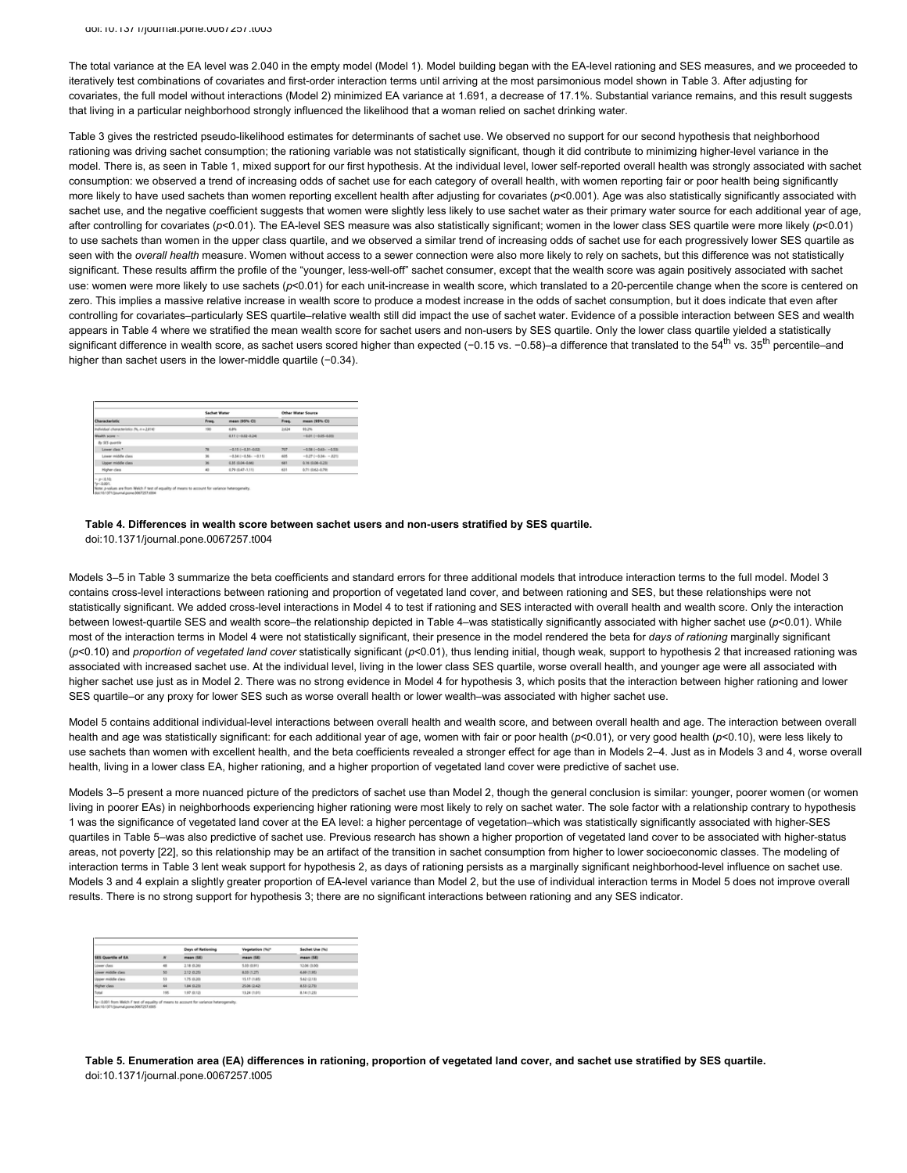The total variance at the EA level was 2.040 in the empty model (Model 1). Model building began with the EA-level rationing and SES measures, and we proceeded to iteratively test combinations of covariates and first-order interaction terms until arriving at the most parsimonious model shown in [Table 3.](http://www.plosone.org/article/info%3Adoi%2F10.1371%2Fjournal.pone.0067257#pone-0067257-t003) After adjusting for covariates, the full model without interactions (Model 2) minimized EA variance at 1.691, a decrease of 17.1%. Substantial variance remains, and this result suggests that living in a particular neighborhood strongly influenced the likelihood that a woman relied on sachet drinking water.

[Table 3](http://www.plosone.org/article/info%3Adoi%2F10.1371%2Fjournal.pone.0067257#pone-0067257-t003) gives the restricted pseudo-likelihood estimates for determinants of sachet use. We observed no support for our second hypothesis that neighborhood rationing was driving sachet consumption; the rationing variable was not statistically significant, though it did contribute to minimizing higher-level variance in the model. There is, as seen in [Table 1,](http://www.plosone.org/article/info%3Adoi%2F10.1371%2Fjournal.pone.0067257#pone-0067257-t001) mixed support for our first hypothesis. At the individual level, lower self-reported overall health was strongly associated with sachet consumption: we observed a trend of increasing odds of sachet use for each category of overall health, with women reporting fair or poor health being significantly more likely to have used sachets than women reporting excellent health after adjusting for covariates ( $p$ <0.001). Age was also statistically significantly associated with sachet use, and the negative coefficient suggests that women were slightly less likely to use sachet water as their primary water source for each additional year of age, after controlling for covariates ( $p$ <0.01). The EA-level SES measure was also statistically significant; women in the lower class SES quartile were more likely ( $p$ <0.01) to use sachets than women in the upper class quartile, and we observed a similar trend of increasing odds of sachet use for each progressively lower SES quartile as seen with the *overall health* measure. Women without access to a sewer connection were also more likely to rely on sachets, but this difference was not statistically significant. These results affirm the profile of the "younger, less-well-off" sachet consumer, except that the wealth score was again positively associated with sachet use: women were more likely to use sachets ( $p<0.01$ ) for each unit-increase in wealth score, which translated to a 20-percentile change when the score is centered on zero. This implies a massive relative increase in wealth score to produce a modest increase in the odds of sachet consumption, but it does indicate that even after controlling for covariates–particularly SES quartile–relative wealth still did impact the use of sachet water. Evidence of a possible interaction between SES and wealth appears in [Table 4](http://www.plosone.org/article/info%3Adoi%2F10.1371%2Fjournal.pone.0067257#pone-0067257-t004) where we stratified the mean wealth score for sachet users and non-users by SES quartile. Only the lower class quartile yielded a statistically significant difference in wealth score, as sachet users scored higher than expected (-0.15 vs. -0.58)–a difference that translated to the 54<sup>th</sup> vs. 35<sup>th</sup> percentile–and higher than sachet users in the lower-middle quartile  $(-0.34)$ .

|                                           | <b>Sachet Water</b> |                        | Other Water Source |                           |  |
|-------------------------------------------|---------------------|------------------------|--------------------|---------------------------|--|
| Characteristic                            | Freq.               | mean (95% Cl)          | Freq.              | mean (95% Cl)             |  |
| Individual characteristics (%, n = 2.814) | 190                 | 6.8%                   | 2,624              | \$5.2%                    |  |
| Wealth score ~                            |                     | $0.116 - 0.03 - 0.346$ |                    | $-0.01(-0.05-0.01)$       |  |
| By SES quartile                           |                     |                        |                    |                           |  |
| Lower class *                             | $^{78}$             | $-0.15(-0.31-0.02)$    | 747                | $-0.58$ $(-0.63 - -0.53)$ |  |
| Lower middle class                        | M                   | $-0.34(-0.56 - -0.11)$ | 405                | $-0.27$ $(-0.34 - -0.21)$ |  |
| Upper middle class                        | M                   | 0.35 (0.04-0.66)       | 441                | 0.16 (0.06-0.25)          |  |
| Higher class                              | k)                  | 0.79 (0.47-1.11)       | 631                | 071 (062-079)             |  |

\*p-c8.001.<br>Note: p-values are from Welch F test of equality of means to account for variance het<br>dol:10.1371/journal.pone.0067257.604

#### **Table 4. Differences in wealth score between sachet users and non-users stratified by SES quartile.**

doi:10.1371/journal.pone.0067257.t004

Models 3–5 in [Table 3](http://www.plosone.org/article/info%3Adoi%2F10.1371%2Fjournal.pone.0067257#pone-0067257-t003) summarize the beta coefficients and standard errors for three additional models that introduce interaction terms to the full model. Model 3 contains cross-level interactions between rationing and proportion of vegetated land cover, and between rationing and SES, but these relationships were not statistically significant. We added cross-level interactions in Model 4 to test if rationing and SES interacted with overall health and wealth score. Only the interaction between lowest-quartile SES and wealth score–the relationship depicted in [Table 4–](http://www.plosone.org/article/info%3Adoi%2F10.1371%2Fjournal.pone.0067257#pone-0067257-t004)was statistically significantly associated with higher sachet use (*p*<0.01). While most of the interaction terms in Model 4 were not statistically significant, their presence in the model rendered the beta for *days of rationing* marginally significant (*p*<0.10) and *proportion of vegetated land cover* statistically significant (*p*<0.01), thus lending initial, though weak, support to hypothesis 2 that increased rationing was associated with increased sachet use. At the individual level, living in the lower class SES quartile, worse overall health, and younger age were all associated with higher sachet use just as in Model 2. There was no strong evidence in Model 4 for hypothesis 3, which posits that the interaction between higher rationing and lower SES quartile–or any proxy for lower SES such as worse overall health or lower wealth–was associated with higher sachet use.

Model 5 contains additional individual-level interactions between overall health and wealth score, and between overall health and age. The interaction between overall health and age was statistically significant: for each additional year of age, women with fair or poor health ( $p$ <0.01), or very good health ( $p$ <0.10), were less likely to use sachets than women with excellent health, and the beta coefficients revealed a stronger effect for age than in Models 2-4. Just as in Models 3 and 4, worse overall health, living in a lower class EA, higher rationing, and a higher proportion of vegetated land cover were predictive of sachet use.

Models 3–5 present a more nuanced picture of the predictors of sachet use than Model 2, though the general conclusion is similar: younger, poorer women (or women living in poorer EAs) in neighborhoods experiencing higher rationing were most likely to rely on sachet water. The sole factor with a relationship contrary to hypothesis 1 was the significance of vegetated land cover at the EA level: a higher percentage of vegetation–which was statistically significantly associated with higher-SES quartiles in [Table 5–](http://www.plosone.org/article/info%3Adoi%2F10.1371%2Fjournal.pone.0067257#pone-0067257-t005)was also predictive of sachet use. Previous research has shown a higher proportion of vegetated land cover to be associated with higher-status areas, not poverty [\[22\],](http://www.plosone.org/article/info%3Adoi%2F10.1371%2Fjournal.pone.0067257#pone.0067257-Weeks3) so this relationship may be an artifact of the transition in sachet consumption from higher to lower socioeconomic classes. The modeling of interaction terms in [Table 3](http://www.plosone.org/article/info%3Adoi%2F10.1371%2Fjournal.pone.0067257#pone-0067257-t003) lent weak support for hypothesis 2, as days of rationing persists as a marginally significant neighborhood-level influence on sachet use. Models 3 and 4 explain a slightly greater proportion of EA-level variance than Model 2, but the use of individual interaction terms in Model 5 does not improve overall results. There is no strong support for hypothesis 3; there are no significant interactions between rationing and any SES indicator.

| <b>SES Quartile of EA</b> |                | <b>Owys of Rationing</b> | Vegetation (%)* | Sachet Use (%) |
|---------------------------|----------------|--------------------------|-----------------|----------------|
|                           | $\overline{N}$ | mean (SE)                | mean (SE)       | mean (SE)      |
| Lower class               | $\overline{a}$ | 2.18 (0.26)              | 1.00 (0.91)     | 12.06 (3.00)   |
| Lower middle class        | 10             | 2.12 (0.25)              | 8.00 (1.27)     | 6.60 (1.95)    |
| Upper middle class        | $^{13}$        | 135 (0.20)               | 15.17 (1.85)    | 5.62 (2.13)    |
| Higher class              | 44             | 184 (0.23)               | 25.06 (2.42)    | 8.53 (2.73)    |
| Total                     | 195            | 1.07 (0.12)              | 13.24 (1.01)    | 8.16 (1.23)    |

 $\tau_{\rm P}$  - 0.001 from Welch  $I$  test of equality of means to account for variance as the 1371/purnal pone 0067257.005

**Table 5. Enumeration area (EA) differences in rationing, proportion of vegetated land cover, and sachet use stratified by SES quartile.** doi:10.1371/journal.pone.0067257.t005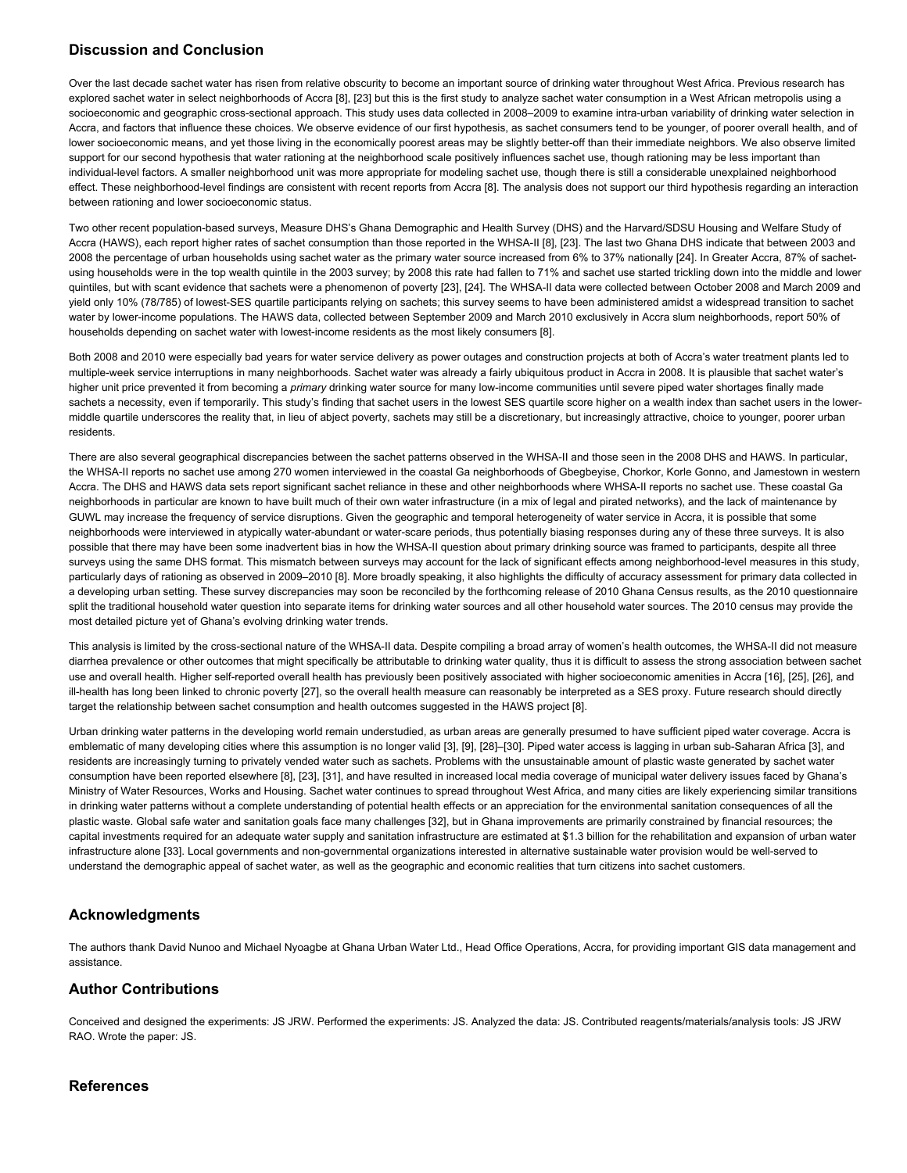## **Discussion and Conclusion**

Over the last decade sachet water has risen from relative obscurity to become an important source of drinking water throughout West Africa. Previous research has explored sachet water in select neighborhoods of Accra [\[8\],](http://www.plosone.org/article/info%3Adoi%2F10.1371%2Fjournal.pone.0067257#pone.0067257-Stoler1) [\[23\]](http://www.plosone.org/article/info%3Adoi%2F10.1371%2Fjournal.pone.0067257#pone.0067257-Stoler2) but this is the first study to analyze sachet water consumption in a West African metropolis using a socioeconomic and geographic cross-sectional approach. This study uses data collected in 2008–2009 to examine intra-urban variability of drinking water selection in Accra, and factors that influence these choices. We observe evidence of our first hypothesis, as sachet consumers tend to be younger, of poorer overall health, and of lower socioeconomic means, and yet those living in the economically poorest areas may be slightly better-off than their immediate neighbors. We also observe limited support for our second hypothesis that water rationing at the neighborhood scale positively influences sachet use, though rationing may be less important than individual-level factors. A smaller neighborhood unit was more appropriate for modeling sachet use, though there is still a considerable unexplained neighborhood effect. These neighborhood-level findings are consistent with recent reports from Accra [\[8\].](http://www.plosone.org/article/info%3Adoi%2F10.1371%2Fjournal.pone.0067257#pone.0067257-Stoler1) The analysis does not support our third hypothesis regarding an interaction between rationing and lower socioeconomic status.

Two other recent population-based surveys, Measure DHS's Ghana Demographic and Health Survey (DHS) and the Harvard/SDSU Housing and Welfare Study of Accra (HAWS), each report higher rates of sachet consumption than those reported in the WHSA-II [\[8\],](http://www.plosone.org/article/info%3Adoi%2F10.1371%2Fjournal.pone.0067257#pone.0067257-Stoler1) [\[23\].](http://www.plosone.org/article/info%3Adoi%2F10.1371%2Fjournal.pone.0067257#pone.0067257-Stoler2) The last two Ghana DHS indicate that between 2003 and 2008 the percentage of urban households using sachet water as the primary water source increased from 6% to 37% nationally [\[24\].](http://www.plosone.org/article/info%3Adoi%2F10.1371%2Fjournal.pone.0067257#pone.0067257-MacroInternational1) In Greater Accra, 87% of sachetusing households were in the top wealth quintile in the 2003 survey; by 2008 this rate had fallen to 71% and sachet use started trickling down into the middle and lower quintiles, but with scant evidence that sachets were a phenomenon of poverty [\[23\],](http://www.plosone.org/article/info%3Adoi%2F10.1371%2Fjournal.pone.0067257#pone.0067257-Stoler2) [\[24\].](http://www.plosone.org/article/info%3Adoi%2F10.1371%2Fjournal.pone.0067257#pone.0067257-MacroInternational1) The WHSA-II data were collected between October 2008 and March 2009 and yield only 10% (78/785) of lowest-SES quartile participants relying on sachets; this survey seems to have been administered amidst a widespread transition to sachet water by lower-income populations. The HAWS data, collected between September 2009 and March 2010 exclusively in Accra slum neighborhoods, report 50% of households depending on sachet water with lowest-income residents as the most likely consumers [\[8\].](http://www.plosone.org/article/info%3Adoi%2F10.1371%2Fjournal.pone.0067257#pone.0067257-Stoler1)

Both 2008 and 2010 were especially bad years for water service delivery as power outages and construction projects at both of Accra's water treatment plants led to multiple-week service interruptions in many neighborhoods. Sachet water was already a fairly ubiquitous product in Accra in 2008. It is plausible that sachet water's higher unit price prevented it from becoming a *primary* drinking water source for many low-income communities until severe piped water shortages finally made sachets a necessity, even if temporarily. This study's finding that sachet users in the lowest SES quartile score higher on a wealth index than sachet users in the lowermiddle quartile underscores the reality that, in lieu of abject poverty, sachets may still be a discretionary, but increasingly attractive, choice to younger, poorer urban residents.

There are also several geographical discrepancies between the sachet patterns observed in the WHSA-II and those seen in the 2008 DHS and HAWS. In particular, the WHSA-II reports no sachet use among 270 women interviewed in the coastal Ga neighborhoods of Gbegbeyise, Chorkor, Korle Gonno, and Jamestown in western Accra. The DHS and HAWS data sets report significant sachet reliance in these and other neighborhoods where WHSA-II reports no sachet use. These coastal Ga neighborhoods in particular are known to have built much of their own water infrastructure (in a mix of legal and pirated networks), and the lack of maintenance by GUWL may increase the frequency of service disruptions. Given the geographic and temporal heterogeneity of water service in Accra, it is possible that some neighborhoods were interviewed in atypically water-abundant or water-scare periods, thus potentially biasing responses during any of these three surveys. It is also possible that there may have been some inadvertent bias in how the WHSA-II question about primary drinking source was framed to participants, despite all three surveys using the same DHS format. This mismatch between surveys may account for the lack of significant effects among neighborhood-level measures in this study, particularly days of rationing as observed in 2009–2010 [\[8\].](http://www.plosone.org/article/info%3Adoi%2F10.1371%2Fjournal.pone.0067257#pone.0067257-Stoler1) More broadly speaking, it also highlights the difficulty of accuracy assessment for primary data collected in a developing urban setting. These survey discrepancies may soon be reconciled by the forthcoming release of 2010 Ghana Census results, as the 2010 questionnaire split the traditional household water question into separate items for drinking water sources and all other household water sources. The 2010 census may provide the most detailed picture yet of Ghana's evolving drinking water trends.

This analysis is limited by the cross-sectional nature of the WHSA-II data. Despite compiling a broad array of women's health outcomes, the WHSA-II did not measure diarrhea prevalence or other outcomes that might specifically be attributable to drinking water quality, thus it is difficult to assess the strong association between sachet use and overall health. Higher self-reported overall health has previously been positively associated with higher socioeconomic amenities in Accra [\[16\],](http://www.plosone.org/article/info%3Adoi%2F10.1371%2Fjournal.pone.0067257#pone.0067257-Weeks1) [\[25\],](http://www.plosone.org/article/info%3Adoi%2F10.1371%2Fjournal.pone.0067257#pone.0067257-Arku1) [\[26\],](http://www.plosone.org/article/info%3Adoi%2F10.1371%2Fjournal.pone.0067257#pone.0067257-Stoler3) and ill-health has long been linked to chronic poverty [\[27\],](http://www.plosone.org/article/info%3Adoi%2F10.1371%2Fjournal.pone.0067257#pone.0067257-Sverdlik1) so the overall health measure can reasonably be interpreted as a SES proxy. Future research should directly target the relationship between sachet consumption and health outcomes suggested in the HAWS project [\[8\].](http://www.plosone.org/article/info%3Adoi%2F10.1371%2Fjournal.pone.0067257#pone.0067257-Stoler1)

Urban drinking water patterns in the developing world remain understudied, as urban areas are generally presumed to have sufficient piped water coverage. Accra is emblematic of many developing cities where this assumption is no longer valid [\[3\],](http://www.plosone.org/article/info%3Adoi%2F10.1371%2Fjournal.pone.0067257#pone.0067257-WHOUNICEF2) [\[9\],](http://www.plosone.org/article/info%3Adoi%2F10.1371%2Fjournal.pone.0067257#pone.0067257-Thompson1) [\[28\]](http://www.plosone.org/article/info%3Adoi%2F10.1371%2Fjournal.pone.0067257#pone.0067257-Collignon1)[–\[30\]](http://www.plosone.org/article/info%3Adoi%2F10.1371%2Fjournal.pone.0067257#pone.0067257-Kessides1). Piped water access is lagging in urban sub-Saharan Africa [\[3\]](http://www.plosone.org/article/info%3Adoi%2F10.1371%2Fjournal.pone.0067257#pone.0067257-WHOUNICEF2), and residents are increasingly turning to privately vended water such as sachets. Problems with the unsustainable amount of plastic waste generated by sachet water consumption have been reported elsewhere [\[8\],](http://www.plosone.org/article/info%3Adoi%2F10.1371%2Fjournal.pone.0067257#pone.0067257-Stoler1) [\[23\],](http://www.plosone.org/article/info%3Adoi%2F10.1371%2Fjournal.pone.0067257#pone.0067257-Stoler2) [\[31\],](http://www.plosone.org/article/info%3Adoi%2F10.1371%2Fjournal.pone.0067257#pone.0067257-Stoler4) and have resulted in increased local media coverage of municipal water delivery issues faced by Ghana's Ministry of Water Resources, Works and Housing. Sachet water continues to spread throughout West Africa, and many cities are likely experiencing similar transitions in drinking water patterns without a complete understanding of potential health effects or an appreciation for the environmental sanitation consequences of all the plastic waste. Global safe water and sanitation goals face many challenges [\[32\],](http://www.plosone.org/article/info%3Adoi%2F10.1371%2Fjournal.pone.0067257#pone.0067257-Moe1) but in Ghana improvements are primarily constrained by financial resources; the capital investments required for an adequate water supply and sanitation infrastructure are estimated at \$1.3 billion for the rehabilitation and expansion of urban water infrastructure alone [\[33\].](http://www.plosone.org/article/info%3Adoi%2F10.1371%2Fjournal.pone.0067257#pone.0067257-AfDBOECD1) Local governments and non-governmental organizations interested in alternative sustainable water provision would be well-served to understand the demographic appeal of sachet water, as well as the geographic and economic realities that turn citizens into sachet customers.

### **Acknowledgments**

The authors thank David Nunoo and Michael Nyoagbe at Ghana Urban Water Ltd., Head Office Operations, Accra, for providing important GIS data management and assistance.

### **Author Contributions**

Conceived and designed the experiments: JS JRW. Performed the experiments: JS. Analyzed the data: JS. Contributed reagents/materials/analysis tools: JS JRW RAO. Wrote the paper: JS.

#### **References**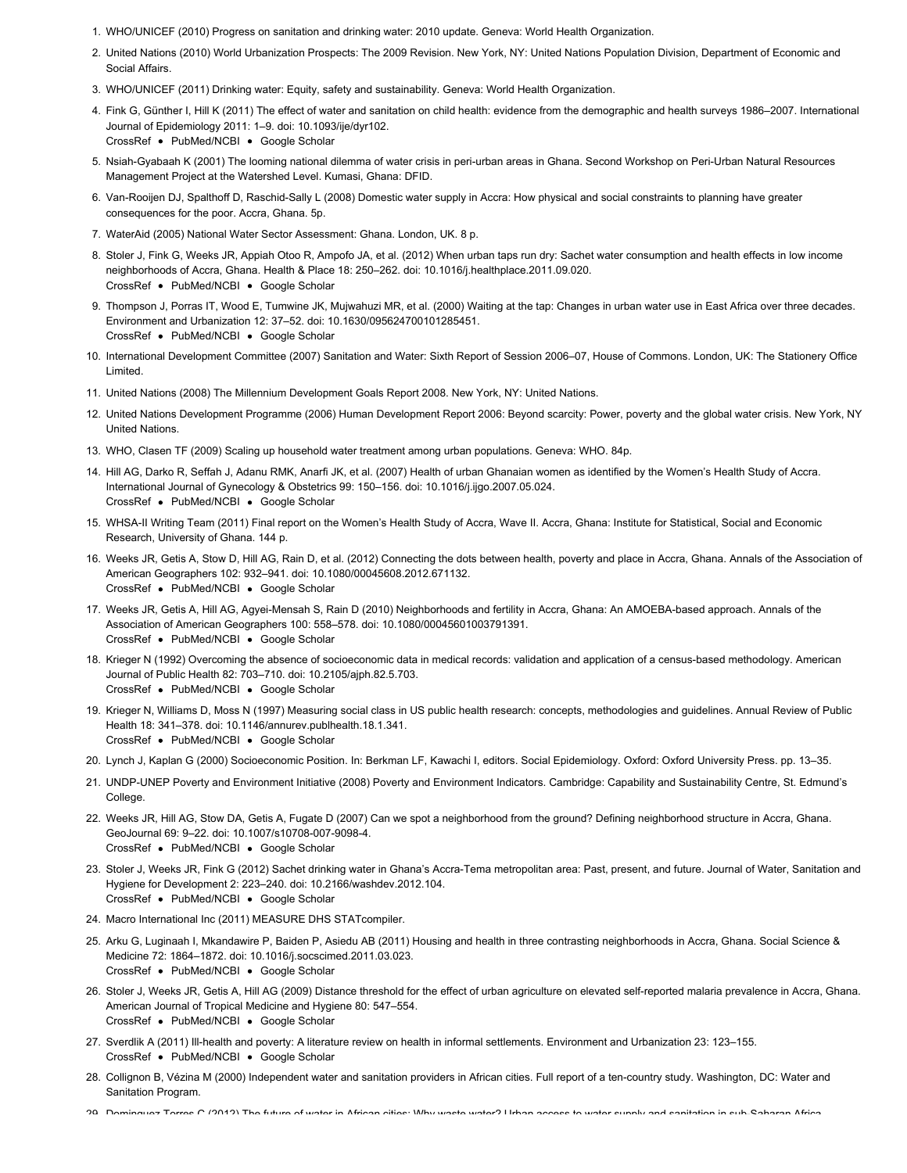- 1. WHO/UNICEF (2010) Progress on sanitation and drinking water: 2010 update. Geneva: World Health Organization.
- 2. United Nations (2010) World Urbanization Prospects: The 2009 Revision. New York, NY: United Nations Population Division, Department of Economic and Social Affairs.
- 3. WHO/UNICEF (2011) Drinking water: Equity, safety and sustainability. Geneva: World Health Organization.
- 4. Fink G, Günther I, Hill K (2011) The effect of water and sanitation on child health: evidence from the demographic and health surveys 1986–2007. International [CrossRef](http://dx.doi.org/10.1093/ije/dyr102) • [PubMed/NCBI](http://www.ncbi.nlm.nih.gov/entrez/query.fcgi?db=PubMed&cmd=Search&doptcmdl=Citation&defaultField=Title+Word&term=Fink%5Bauthor%5D+AND+The+effect+of+water+and+sanitation+on+child+health%3A+evidence+from+the+demographic+and+health+surveys+1986%E2%80%932007) • [Google Scholar](http://scholar.google.com/scholar?hl=en&safe=off&q=author%3AFink+%22The+effect+of+water+and+sanitation+on+child+health%3A+evidence+from+the+demographic+and+health+surveys+1986%E2%80%932007%22) Journal of Epidemiology 2011: 1–9. doi: [10.1093/ije/dyr102.](http://dx.doi.org/10.1093/ije/dyr102)
- 5. Nsiah-Gyabaah K (2001) The looming national dilemma of water crisis in peri-urban areas in Ghana. Second Workshop on Peri-Urban Natural Resources Management Project at the Watershed Level. Kumasi, Ghana: DFID.
- 6. Van-Rooijen DJ, Spalthoff D, Raschid-Sally L (2008) Domestic water supply in Accra: How physical and social constraints to planning have greater consequences for the poor. Accra, Ghana. 5p.
- 7. WaterAid (2005) National Water Sector Assessment: Ghana. London, UK. 8 p.
- 8. Stoler J, Fink G, Weeks JR, Appiah Otoo R, Ampofo JA, et al. (2012) When urban taps run dry: Sachet water consumption and health effects in low income [CrossRef](http://dx.doi.org/10.1016/j.healthplace.2011.09.020) • [PubMed/NCBI](http://www.ncbi.nlm.nih.gov/entrez/query.fcgi?db=PubMed&cmd=Search&doptcmdl=Citation&defaultField=Title+Word&term=Stoler%5Bauthor%5D+AND+When+urban+taps+run+dry%3A+Sachet+water+consumption+and+health+effects+in+low+income+neighborhoods+of+Accra%2C+Ghana) • [Google Scholar](http://scholar.google.com/scholar?hl=en&safe=off&q=author%3AStoler+%22When+urban+taps+run+dry%3A+Sachet+water+consumption+and+health+effects+in+low+income+neighborhoods+of+Accra%2C+Ghana%22) neighborhoods of Accra, Ghana. Health & Place 18: 250–262. doi: [10.1016/j.healthplace.2011.09.020.](http://dx.doi.org/10.1016/j.healthplace.2011.09.020)
- 9. Thompson J, Porras IT, Wood E, Tumwine JK, Mujwahuzi MR, et al. (2000) Waiting at the tap: Changes in urban water use in East Africa over three decades. [CrossRef](http://dx.doi.org/10.1630/095624700101285451) • [PubMed/NCBI](http://www.ncbi.nlm.nih.gov/entrez/query.fcgi?db=PubMed&cmd=Search&doptcmdl=Citation&defaultField=Title+Word&term=Thompson%5Bauthor%5D+AND+Waiting+at+the+tap%3A+Changes+in+urban+water+use+in+East+Africa+over+three+decades) • [Google Scholar](http://scholar.google.com/scholar?hl=en&safe=off&q=author%3AThompson+%22Waiting+at+the+tap%3A+Changes+in+urban+water+use+in+East+Africa+over+three+decades%22) Environment and Urbanization 12: 37–52. doi: [10.1630/095624700101285451](http://dx.doi.org/10.1630/095624700101285451).
- 10. International Development Committee (2007) Sanitation and Water: Sixth Report of Session 2006–07, House of Commons. London, UK: The Stationery Office Limited.
- 11. United Nations (2008) The Millennium Development Goals Report 2008. New York, NY: United Nations.
- 12. United Nations Development Programme (2006) Human Development Report 2006: Beyond scarcity: Power, poverty and the global water crisis. New York, NY: United Nations.
- 13. WHO, Clasen TF (2009) Scaling up household water treatment among urban populations. Geneva: WHO. 84p.
- 14. Hill AG, Darko R, Seffah J, Adanu RMK, Anarfi JK, et al. (2007) Health of urban Ghanaian women as identified by the Women's Health Study of Accra. [CrossRef](http://dx.doi.org/10.1016/j.ijgo.2007.05.024) • [PubMed/NCBI](http://www.ncbi.nlm.nih.gov/entrez/query.fcgi?db=PubMed&cmd=Search&doptcmdl=Citation&defaultField=Title+Word&term=Hill%5Bauthor%5D+AND+Health+of+urban+Ghanaian+women+as+identified+by+the+Women%E2%80%99s+Health+Study+of+Accra) • [Google Scholar](http://scholar.google.com/scholar?hl=en&safe=off&q=author%3AHill+%22Health+of+urban+Ghanaian+women+as+identified+by+the+Women%E2%80%99s+Health+Study+of+Accra%22) International Journal of Gynecology & Obstetrics 99: 150–156. doi: [10.1016/j.ijgo.2007.05.024.](http://dx.doi.org/10.1016/j.ijgo.2007.05.024)
- 15. WHSA-II Writing Team (2011) Final report on the Women's Health Study of Accra, Wave II. Accra, Ghana: Institute for Statistical, Social and Economic Research, University of Ghana. 144 p.
- 16. Weeks JR, Getis A, Stow D, Hill AG, Rain D, et al. (2012) Connecting the dots between health, poverty and place in Accra, Ghana. Annals of the Association of [CrossRef](http://dx.doi.org/10.1080/00045608.2012.671132) • [PubMed/NCBI](http://www.ncbi.nlm.nih.gov/entrez/query.fcgi?db=PubMed&cmd=Search&doptcmdl=Citation&defaultField=Title+Word&term=Weeks%5Bauthor%5D+AND+Connecting+the+dots+between+health%2C+poverty+and+place+in+Accra%2C+Ghana) • [Google Scholar](http://scholar.google.com/scholar?hl=en&safe=off&q=author%3AWeeks+%22Connecting+the+dots+between+health%2C+poverty+and+place+in+Accra%2C+Ghana%22) American Geographers 102: 932–941. doi: [10.1080/00045608.2012.671132.](http://dx.doi.org/10.1080/00045608.2012.671132)
- 17. Weeks JR, Getis A, Hill AG, Agyei-Mensah S, Rain D (2010) Neighborhoods and fertility in Accra, Ghana: An AMOEBA-based approach. Annals of the [CrossRef](http://dx.doi.org/10.1080/00045601003791391) • [PubMed/NCBI](http://www.ncbi.nlm.nih.gov/entrez/query.fcgi?db=PubMed&cmd=Search&doptcmdl=Citation&defaultField=Title+Word&term=Weeks%5Bauthor%5D+AND+Neighborhoods+and+fertility+in+Accra%2C+Ghana%3A+An+AMOEBA-based+approach) • [Google Scholar](http://scholar.google.com/scholar?hl=en&safe=off&q=author%3AWeeks+%22Neighborhoods+and+fertility+in+Accra%2C+Ghana%3A+An+AMOEBA-based+approach%22) Association of American Geographers 100: 558–578. doi: [10.1080/00045601003791391.](http://dx.doi.org/10.1080/00045601003791391)
- 18. Krieger N (1992) Overcoming the absence of socioeconomic data in medical records: validation and application of a census-based methodology. American [CrossRef](http://dx.doi.org/10.2105/ajph.82.5.703) • [PubMed/NCBI](http://www.ncbi.nlm.nih.gov/entrez/query.fcgi?db=PubMed&cmd=Search&doptcmdl=Citation&defaultField=Title+Word&term=Krieger%5Bauthor%5D+AND+Overcoming+the+absence+of+socioeconomic+data+in+medical+records%3A+validation+and+application+of+a+census-based+methodology) • [Google Scholar](http://scholar.google.com/scholar?hl=en&safe=off&q=author%3AKrieger+%22Overcoming+the+absence+of+socioeconomic+data+in+medical+records%3A+validation+and+application+of+a+census-based+methodology%22) Journal of Public Health 82: 703–710. doi: [10.2105/ajph.82.5.703.](http://dx.doi.org/10.2105/ajph.82.5.703)
- 19. Krieger N, Williams D, Moss N (1997) Measuring social class in US public health research: concepts, methodologies and guidelines. Annual Review of Public [CrossRef](http://dx.doi.org/10.1146/annurev.publhealth.18.1.341) • [PubMed/NCBI](http://www.ncbi.nlm.nih.gov/entrez/query.fcgi?db=PubMed&cmd=Search&doptcmdl=Citation&defaultField=Title+Word&term=Krieger%5Bauthor%5D+AND+Measuring+social+class+in+US+public+health+research%3A+concepts%2C+methodologies+and+guidelines) • [Google Scholar](http://scholar.google.com/scholar?hl=en&safe=off&q=author%3AKrieger+%22Measuring+social+class+in+US+public+health+research%3A+concepts%2C+methodologies+and+guidelines%22) Health 18: 341–378. doi: [10.1146/annurev.publhealth.18.1.341.](http://dx.doi.org/10.1146/annurev.publhealth.18.1.341)
- 20. Lynch J, Kaplan G (2000) Socioeconomic Position. In: Berkman LF, Kawachi I, editors. Social Epidemiology. Oxford: Oxford University Press. pp. 13–35.
- 21. UNDP-UNEP Poverty and Environment Initiative (2008) Poverty and Environment Indicators. Cambridge: Capability and Sustainability Centre, St. Edmund's **College**
- 22. Weeks JR, Hill AG, Stow DA, Getis A, Fugate D (2007) Can we spot a neighborhood from the ground? Defining neighborhood structure in Accra, Ghana. GeoJournal 69: 9–22. doi: [10.1007/s10708-007-9098-4.](http://dx.doi.org/10.1007/s10708-007-9098-4)
	- [CrossRef](http://dx.doi.org/10.1007/s10708-007-9098-4) [PubMed/NCBI](http://www.ncbi.nlm.nih.gov/entrez/query.fcgi?db=PubMed&cmd=Search&doptcmdl=Citation&defaultField=Title+Word&term=Weeks%5Bauthor%5D+AND+Can+we+spot+a+neighborhood+from+the+ground%3F+Defining+neighborhood+structure+in+Accra%2C+Ghana) [Google Scholar](http://scholar.google.com/scholar?hl=en&safe=off&q=author%3AWeeks+%22Can+we+spot+a+neighborhood+from+the+ground%3F+Defining+neighborhood+structure+in+Accra%2C+Ghana%22)
- 23. Stoler J, Weeks JR, Fink G (2012) Sachet drinking water in Ghana's Accra-Tema metropolitan area: Past, present, and future. Journal of Water, Sanitation and Hygiene for Development 2: 223–240. doi: [10.2166/washdev.2012.104.](http://dx.doi.org/10.2166/washdev.2012.104)
	- [CrossRef](http://dx.doi.org/10.2166/washdev.2012.104) [PubMed/NCBI](http://www.ncbi.nlm.nih.gov/entrez/query.fcgi?db=PubMed&cmd=Search&doptcmdl=Citation&defaultField=Title+Word&term=Stoler%5Bauthor%5D+AND+Sachet+drinking+water+in+Ghana%E2%80%99s+Accra-Tema+metropolitan+area%3A+Past%2C+present%2C+and+future) [Google Scholar](http://scholar.google.com/scholar?hl=en&safe=off&q=author%3AStoler+%22Sachet+drinking+water+in+Ghana%E2%80%99s+Accra-Tema+metropolitan+area%3A+Past%2C+present%2C+and+future%22)
- 24. Macro International Inc (2011) MEASURE DHS STATcompiler.
- 25. Arku G, Luginaah I, Mkandawire P, Baiden P, Asiedu AB (2011) Housing and health in three contrasting neighborhoods in Accra, Ghana. Social Science & [CrossRef](http://dx.doi.org/10.1016/j.socscimed.2011.03.023) • [PubMed/NCBI](http://www.ncbi.nlm.nih.gov/entrez/query.fcgi?db=PubMed&cmd=Search&doptcmdl=Citation&defaultField=Title+Word&term=Arku%5Bauthor%5D+AND+Housing+and+health+in+three+contrasting+neighborhoods+in+Accra%2C+Ghana) • [Google Scholar](http://scholar.google.com/scholar?hl=en&safe=off&q=author%3AArku+%22Housing+and+health+in+three+contrasting+neighborhoods+in+Accra%2C+Ghana%22) Medicine 72: 1864–1872. doi: [10.1016/j.socscimed.2011.03.023.](http://dx.doi.org/10.1016/j.socscimed.2011.03.023)
- 26. Stoler J, Weeks JR, Getis A, Hill AG (2009) Distance threshold for the effect of urban agriculture on elevated self-reported malaria prevalence in Accra, Ghana. [CrossRef](http://www.crossref.org/guestquery/?auth2=Stoler&atitle2=Distance+threshold+for+the+effect+of+urban+agriculture+on+elevated+self-reported+malaria+prevalence+in+Accra%2C+Ghana&auth=Stoler&atitle=Distance+threshold+for+the+effect+of+urban+agriculture+on+elevated+self-reported+malaria+prevalence+in+Accra%2C+Ghana) • [PubMed/NCBI](http://www.ncbi.nlm.nih.gov/entrez/query.fcgi?db=PubMed&cmd=Search&doptcmdl=Citation&defaultField=Title+Word&term=Stoler%5Bauthor%5D+AND+Distance+threshold+for+the+effect+of+urban+agriculture+on+elevated+self-reported+malaria+prevalence+in+Accra%2C+Ghana) • [Google Scholar](http://scholar.google.com/scholar?hl=en&safe=off&q=author%3AStoler+%22Distance+threshold+for+the+effect+of+urban+agriculture+on+elevated+self-reported+malaria+prevalence+in+Accra%2C+Ghana%22) American Journal of Tropical Medicine and Hygiene 80: 547–554.
- 27. Sverdlik A (2011) Ill-health and poverty: A literature review on health in informal settlements. Environment and Urbanization 23: 123–155. [CrossRef](http://www.crossref.org/guestquery/?auth2=Sverdlik&atitle2=Ill-health+and+poverty%3A+A+literature+review+on+health+in+informal+settlements&auth=Sverdlik&atitle=Ill-health+and+poverty%3A+A+literature+review+on+health+in+informal+settlements) • [PubMed/NCBI](http://www.ncbi.nlm.nih.gov/entrez/query.fcgi?db=PubMed&cmd=Search&doptcmdl=Citation&defaultField=Title+Word&term=Sverdlik%5Bauthor%5D+AND+Ill-health+and+poverty%3A+A+literature+review+on+health+in+informal+settlements) • [Google Scholar](http://scholar.google.com/scholar?hl=en&safe=off&q=author%3ASverdlik+%22Ill-health+and+poverty%3A+A+literature+review+on+health+in+informal+settlements%22)
- 28. Collignon B, Vézina M (2000) Independent water and sanitation providers in African cities. Full report of a ten-country study. Washington, DC: Water and Sanitation Program.
- 29. Dominguez Torres C (2012) The future of water in African cities: Why waste water? Urban access to water supply and sanitation in sub-Saharan Africa,